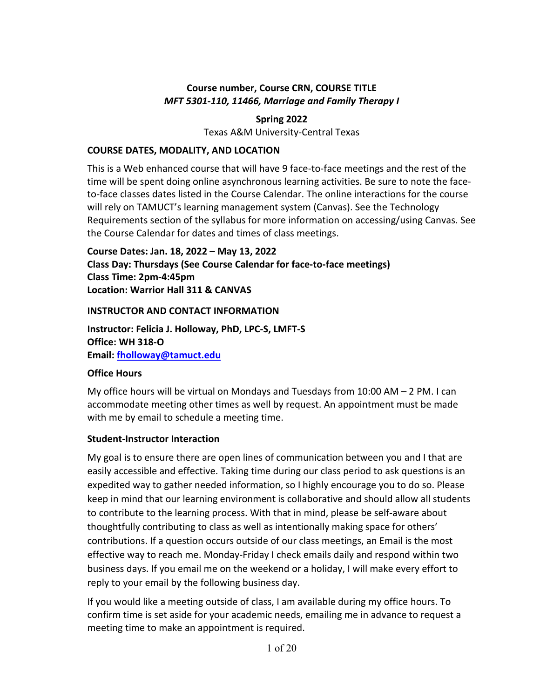## **Course number, Course CRN, COURSE TITLE** *MFT 5301-110, 11466, Marriage and Family Therapy I*

#### **Spring 2022**

Texas A&M University-Central Texas

#### **COURSE DATES, MODALITY, AND LOCATION**

This is a Web enhanced course that will have 9 face-to-face meetings and the rest of the time will be spent doing online asynchronous learning activities. Be sure to note the faceto-face classes dates listed in the Course Calendar. The online interactions for the course will rely on TAMUCT's learning management system (Canvas). See the Technology Requirements section of the syllabus for more information on accessing/using Canvas. See the Course Calendar for dates and times of class meetings.

**Course Dates: Jan. 18, 2022 – May 13, 2022 Class Day: Thursdays (See Course Calendar for face-to-face meetings) Class Time: 2pm-4:45pm Location: Warrior Hall 311 & CANVAS**

#### **INSTRUCTOR AND CONTACT INFORMATION**

**Instructor: Felicia J. Holloway, PhD, LPC-S, LMFT-S Office: WH 318-O Email: [fholloway@tamuct.edu](mailto:fholloway@tamuct.edu)**

## **Office Hours**

My office hours will be virtual on Mondays and Tuesdays from 10:00 AM – 2 PM. I can accommodate meeting other times as well by request. An appointment must be made with me by email to schedule a meeting time.

## **Student-Instructor Interaction**

My goal is to ensure there are open lines of communication between you and I that are easily accessible and effective. Taking time during our class period to ask questions is an expedited way to gather needed information, so I highly encourage you to do so. Please keep in mind that our learning environment is collaborative and should allow all students to contribute to the learning process. With that in mind, please be self-aware about thoughtfully contributing to class as well as intentionally making space for others' contributions. If a question occurs outside of our class meetings, an Email is the most effective way to reach me. Monday-Friday I check emails daily and respond within two business days. If you email me on the weekend or a holiday, I will make every effort to reply to your email by the following business day.

If you would like a meeting outside of class, I am available during my office hours. To confirm time is set aside for your academic needs, emailing me in advance to request a meeting time to make an appointment is required.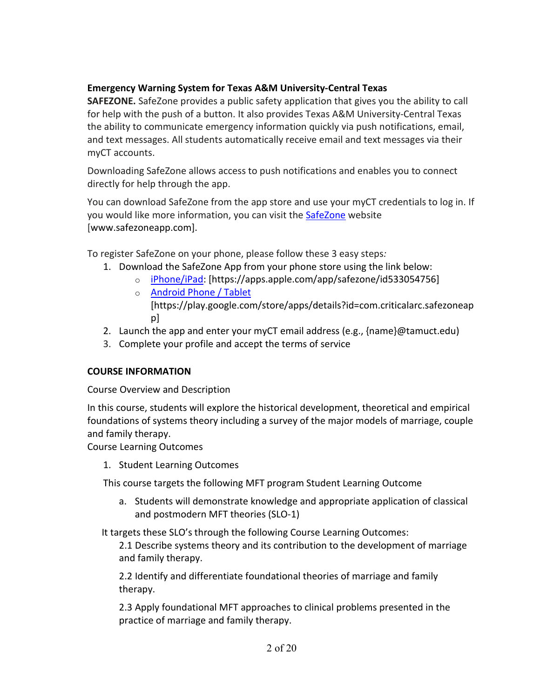## **Emergency Warning System for Texas A&M University-Central Texas**

**SAFEZONE.** SafeZone provides a public safety application that gives you the ability to call for help with the push of a button. It also provides Texas A&M University-Central Texas the ability to communicate emergency information quickly via push notifications, email, and text messages. All students automatically receive email and text messages via their myCT accounts.

Downloading SafeZone allows access to push notifications and enables you to connect directly for help through the app.

You can download SafeZone from the app store and use your myCT credentials to log in. If you would like more information, you can visit the [SafeZone](http://www.safezoneapp.com/) website [www.safezoneapp.com].

To register SafeZone on your phone, please follow these 3 easy steps*:*

- 1. Download the SafeZone App from your phone store using the link below:
	- o [iPhone/iPad:](https://apps.apple.com/app/safezone/id533054756) [https://apps.apple.com/app/safezone/id533054756]
	- o [Android Phone / Tablet](https://play.google.com/store/apps/details?id=com.criticalarc.safezoneapp) [https://play.google.com/store/apps/details?id=com.criticalarc.safezoneap p]
- 2. Launch the app and enter your myCT email address (e.g.,  $\{name\}$ @tamuct.edu)
- 3. Complete your profile and accept the terms of service

## **COURSE INFORMATION**

Course Overview and Description

In this course, students will explore the historical development, theoretical and empirical foundations of systems theory including a survey of the major models of marriage, couple and family therapy.

Course Learning Outcomes

1. Student Learning Outcomes

This course targets the following MFT program Student Learning Outcome

a. Students will demonstrate knowledge and appropriate application of classical and postmodern MFT theories (SLO-1)

It targets these SLO's through the following Course Learning Outcomes:

2.1 Describe systems theory and its contribution to the development of marriage and family therapy.

2.2 Identify and differentiate foundational theories of marriage and family therapy.

2.3 Apply foundational MFT approaches to clinical problems presented in the practice of marriage and family therapy.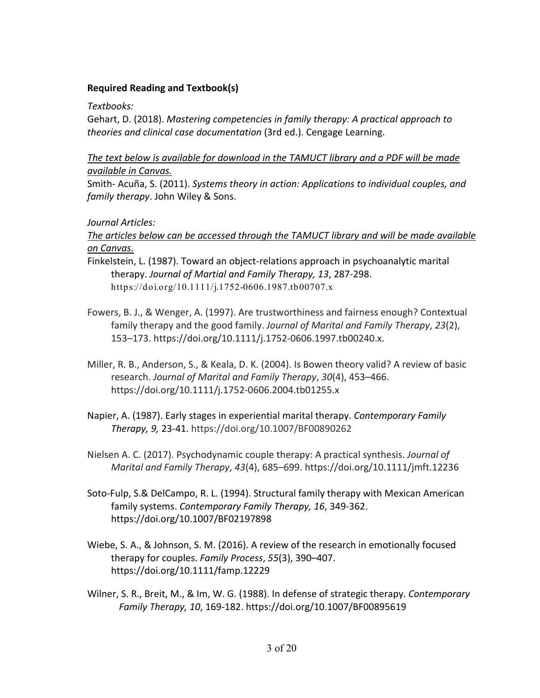## **Required Reading and Textbook(s)**

*Textbooks:*

Gehart, D. (2018). *Mastering competencies in family therapy: A practical approach to theories and clinical case documentation* (3rd ed.). Cengage Learning.

*The text below is available for download in the TAMUCT library and a PDF will be made available in Canvas.*

Smith- Acuña, S. (2011). *Systems theory in action: Applications to individual couples, and family therapy*. John Wiley & Sons.

## *Journal Articles:*

*The articles below can be accessed through the TAMUCT library and will be made available on Canvas.*

- Finkelstein, L. (1987). Toward an object-relations approach in psychoanalytic marital therapy. *Journal of Martial and Family Therapy, 13*, 287-298. https://doi.org/10.1111/j.1752-0606.1987.tb00707.x
- Fowers, B. J., & Wenger, A. (1997). Are trustworthiness and fairness enough? Contextual family therapy and the good family. *Journal of Marital and Family Therapy*, *23*(2), 153–173. https://doi.org/10.1111/j.1752-0606.1997.tb00240.x.
- Miller, R. B., Anderson, S., & Keala, D. K. (2004). Is Bowen theory valid? A review of basic research. *Journal of Marital and Family Therapy*, *30*(4), 453–466. https://doi.org/10.1111/j.1752-0606.2004.tb01255.x
- Napier, A. (1987). Early stages in experiential marital therapy. *Contemporary Family Therapy, 9,* 23-41. https://doi.org/10.1007/BF00890262
- Nielsen A. C. (2017). Psychodynamic couple therapy: A practical synthesis. *Journal of Marital and Family Therapy*, *43*(4), 685–699. https://doi.org/10.1111/jmft.12236
- Soto-Fulp, S.& DelCampo, R. L. (1994). Structural family therapy with Mexican American family systems. *Contemporary Family Therapy, 16*, 349-362. https://doi.org/10.1007/BF02197898
- Wiebe, S. A., & Johnson, S. M. (2016). A review of the research in emotionally focused therapy for couples. *Family Process*, *55*(3), 390–407. https://doi.org/10.1111/famp.12229
- Wilner, S. R., Breit, M., & Im, W. G. (1988). In defense of strategic therapy. *Contemporary Family Therapy, 10*, 169-182. https://doi.org/10.1007/BF00895619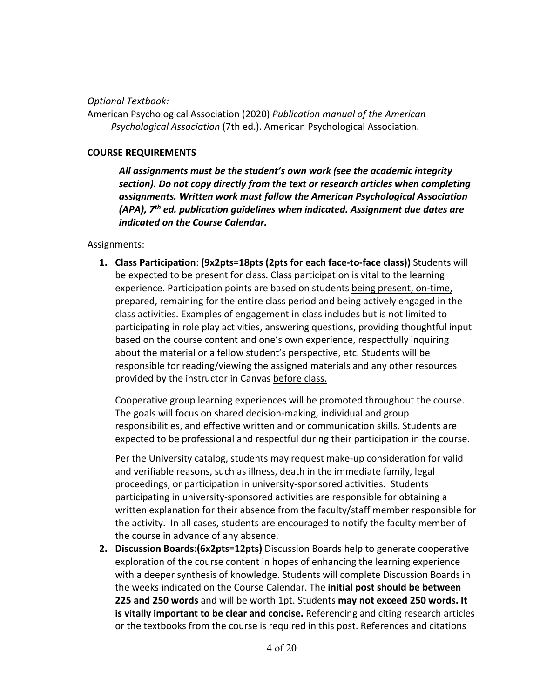*Optional Textbook:*

American Psychological Association (2020) *Publication manual of the American Psychological Association* (7th ed.). American Psychological Association.

#### **COURSE REQUIREMENTS**

*All assignments must be the student's own work (see the academic integrity section). Do not copy directly from the text or research articles when completing assignments. Written work must follow the American Psychological Association (APA), 7th ed. publication guidelines when indicated. Assignment due dates are indicated on the Course Calendar.*

Assignments:

**1. Class Participation**: **(9x2pts=18pts (2pts for each face-to-face class))** Students will be expected to be present for class. Class participation is vital to the learning experience. Participation points are based on students being present, on-time, prepared, remaining for the entire class period and being actively engaged in the class activities. Examples of engagement in class includes but is not limited to participating in role play activities, answering questions, providing thoughtful input based on the course content and one's own experience, respectfully inquiring about the material or a fellow student's perspective, etc. Students will be responsible for reading/viewing the assigned materials and any other resources provided by the instructor in Canvas before class.

Cooperative group learning experiences will be promoted throughout the course. The goals will focus on shared decision-making, individual and group responsibilities, and effective written and or communication skills. Students are expected to be professional and respectful during their participation in the course.

Per the University catalog, students may request make-up consideration for valid and verifiable reasons, such as illness, death in the immediate family, legal proceedings, or participation in university-sponsored activities. Students participating in university-sponsored activities are responsible for obtaining a written explanation for their absence from the faculty/staff member responsible for the activity. In all cases, students are encouraged to notify the faculty member of the course in advance of any absence.

**2. Discussion Boards**:**(6x2pts=12pts)** Discussion Boards help to generate cooperative exploration of the course content in hopes of enhancing the learning experience with a deeper synthesis of knowledge. Students will complete Discussion Boards in the weeks indicated on the Course Calendar. The **initial post should be between 225 and 250 words** and will be worth 1pt. Students **may not exceed 250 words. It is vitally important to be clear and concise.** Referencing and citing research articles or the textbooks from the course is required in this post. References and citations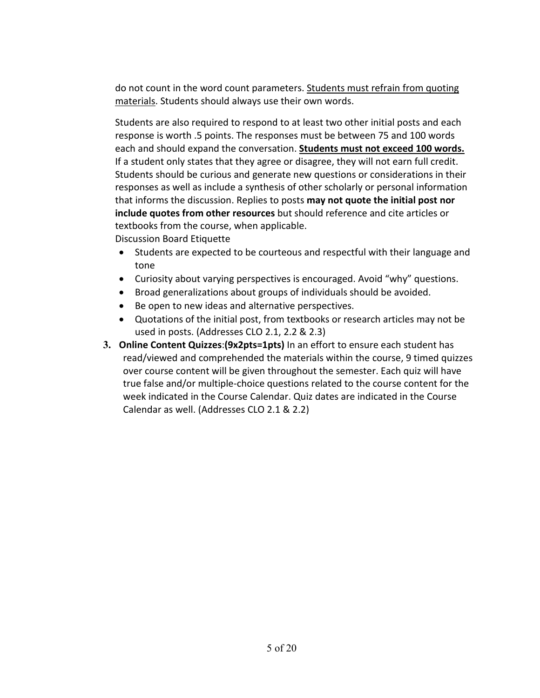do not count in the word count parameters. Students must refrain from quoting materials. Students should always use their own words.

Students are also required to respond to at least two other initial posts and each response is worth .5 points. The responses must be between 75 and 100 words each and should expand the conversation. **Students must not exceed 100 words.** If a student only states that they agree or disagree, they will not earn full credit. Students should be curious and generate new questions or considerations in their responses as well as include a synthesis of other scholarly or personal information that informs the discussion. Replies to posts **may not quote the initial post nor include quotes from other resources** but should reference and cite articles or textbooks from the course, when applicable.

Discussion Board Etiquette

- Students are expected to be courteous and respectful with their language and tone
- Curiosity about varying perspectives is encouraged. Avoid "why" questions.
- Broad generalizations about groups of individuals should be avoided.
- Be open to new ideas and alternative perspectives.
- Quotations of the initial post, from textbooks or research articles may not be used in posts. (Addresses CLO 2.1, 2.2 & 2.3)
- **3. Online Content Quizzes**:**(9x2pts=1pts)** In an effort to ensure each student has read/viewed and comprehended the materials within the course, 9 timed quizzes over course content will be given throughout the semester. Each quiz will have true false and/or multiple-choice questions related to the course content for the week indicated in the Course Calendar. Quiz dates are indicated in the Course Calendar as well. (Addresses CLO 2.1 & 2.2)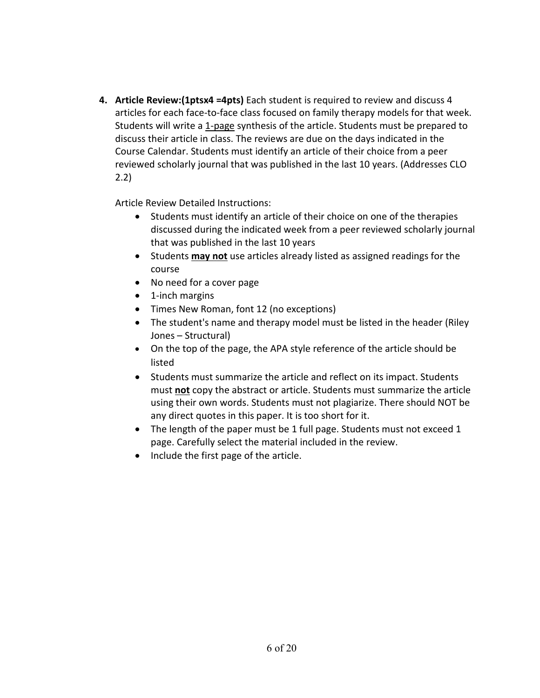**4. Article Review:(1ptsx4 =4pts)** Each student is required to review and discuss 4 articles for each face-to-face class focused on family therapy models for that week. Students will write a 1-page synthesis of the article. Students must be prepared to discuss their article in class. The reviews are due on the days indicated in the Course Calendar. Students must identify an article of their choice from a peer reviewed scholarly journal that was published in the last 10 years. (Addresses CLO 2.2)

Article Review Detailed Instructions:

- Students must identify an article of their choice on one of the therapies discussed during the indicated week from a peer reviewed scholarly journal that was published in the last 10 years
- Students **may not** use articles already listed as assigned readings for the course
- No need for a cover page
- 1-inch margins
- Times New Roman, font 12 (no exceptions)
- The student's name and therapy model must be listed in the header (Riley Jones – Structural)
- On the top of the page, the APA style reference of the article should be listed
- Students must summarize the article and reflect on its impact. Students must **not** copy the abstract or article. Students must summarize the article using their own words. Students must not plagiarize. There should NOT be any direct quotes in this paper. It is too short for it.
- The length of the paper must be 1 full page. Students must not exceed 1 page. Carefully select the material included in the review.
- Include the first page of the article.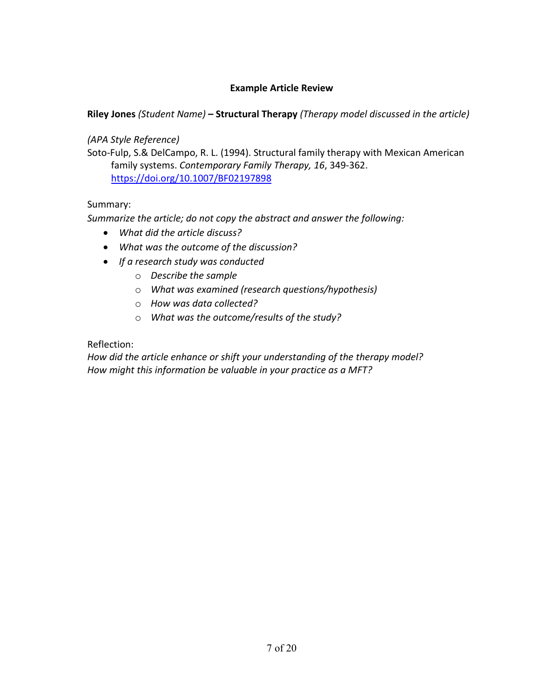#### **Example Article Review**

## **Riley Jones** *(Student Name)* **– Structural Therapy** *(Therapy model discussed in the article)*

*(APA Style Reference)*

Soto-Fulp, S.& DelCampo, R. L. (1994). Structural family therapy with Mexican American family systems. *Contemporary Family Therapy, 16*, 349-362. <https://doi.org/10.1007/BF02197898>

#### Summary:

*Summarize the article; do not copy the abstract and answer the following:*

- *What did the article discuss?*
- *What was the outcome of the discussion?*
- *If a research study was conducted*
	- o *Describe the sample*
	- o *What was examined (research questions/hypothesis)*
	- o *How was data collected?*
	- o *What was the outcome/results of the study?*

Reflection:

*How did the article enhance or shift your understanding of the therapy model? How might this information be valuable in your practice as a MFT?*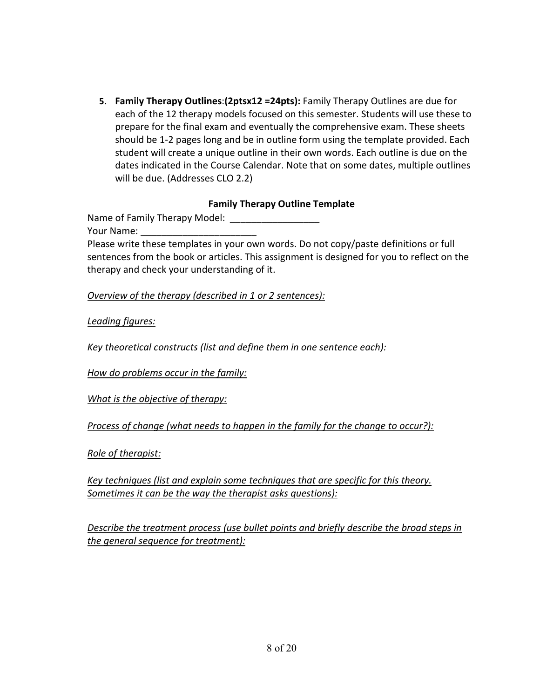**5. Family Therapy Outlines**:**(2ptsx12 =24pts):** Family Therapy Outlines are due for each of the 12 therapy models focused on this semester. Students will use these to prepare for the final exam and eventually the comprehensive exam. These sheets should be 1-2 pages long and be in outline form using the template provided. Each student will create a unique outline in their own words. Each outline is due on the dates indicated in the Course Calendar. Note that on some dates, multiple outlines will be due. (Addresses CLO 2.2)

#### **Family Therapy Outline Template**

Name of Family Therapy Model:

Your Name:

Please write these templates in your own words. Do not copy/paste definitions or full sentences from the book or articles. This assignment is designed for you to reflect on the therapy and check your understanding of it.

*Overview of the therapy (described in 1 or 2 sentences):*

*Leading figures:*

*Key theoretical constructs (list and define them in one sentence each):*

*How do problems occur in the family:*

*What is the objective of therapy:*

*Process of change (what needs to happen in the family for the change to occur?):*

*Role of therapist:*

*Key techniques (list and explain some techniques that are specific for this theory. Sometimes it can be the way the therapist asks questions):*

*Describe the treatment process (use bullet points and briefly describe the broad steps in the general sequence for treatment):*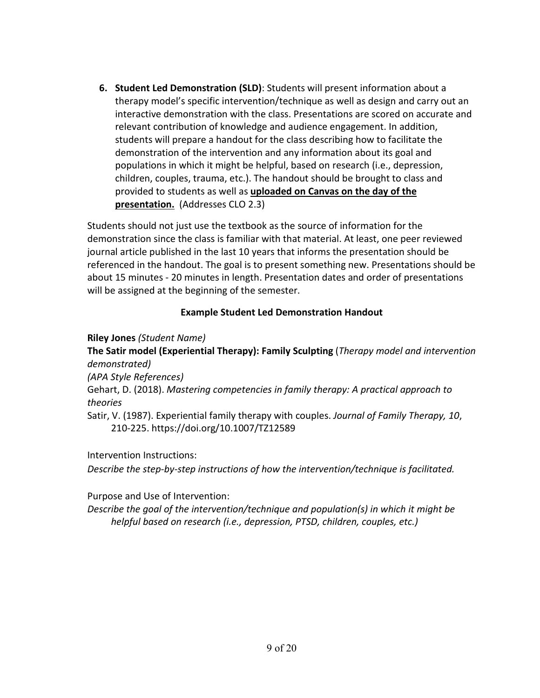**6. Student Led Demonstration (SLD)**: Students will present information about a therapy model's specific intervention/technique as well as design and carry out an interactive demonstration with the class. Presentations are scored on accurate and relevant contribution of knowledge and audience engagement. In addition, students will prepare a handout for the class describing how to facilitate the demonstration of the intervention and any information about its goal and populations in which it might be helpful, based on research (i.e., depression, children, couples, trauma, etc.). The handout should be brought to class and provided to students as well as **uploaded on Canvas on the day of the presentation.** (Addresses CLO 2.3)

Students should not just use the textbook as the source of information for the demonstration since the class is familiar with that material. At least, one peer reviewed journal article published in the last 10 years that informs the presentation should be referenced in the handout. The goal is to present something new. Presentations should be about 15 minutes - 20 minutes in length. Presentation dates and order of presentations will be assigned at the beginning of the semester.

## **Example Student Led Demonstration Handout**

**Riley Jones** *(Student Name)* 

**The Satir model (Experiential Therapy): Family Sculpting** (*Therapy model and intervention demonstrated)*

*(APA Style References)*

Gehart, D. (2018). *Mastering competencies in family therapy: A practical approach to theories*

Satir, V. (1987). Experiential family therapy with couples. *Journal of Family Therapy, 10*, 210-225. https://doi.org/10.1007/TZ12589

Intervention Instructions:

*Describe the step-by-step instructions of how the intervention/technique is facilitated.*

Purpose and Use of Intervention:

*Describe the goal of the intervention/technique and population(s) in which it might be helpful based on research (i.e., depression, PTSD, children, couples, etc.)*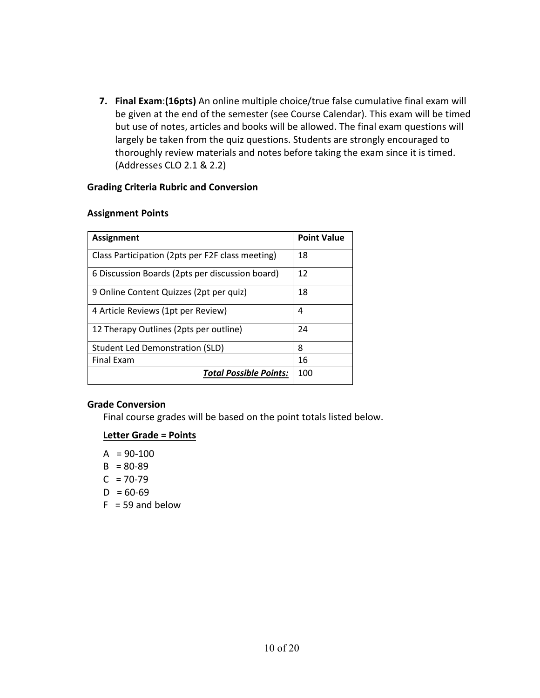**7. Final Exam**:**(16pts)** An online multiple choice/true false cumulative final exam will be given at the end of the semester (see Course Calendar). This exam will be timed but use of notes, articles and books will be allowed. The final exam questions will largely be taken from the quiz questions. Students are strongly encouraged to thoroughly review materials and notes before taking the exam since it is timed. (Addresses CLO 2.1 & 2.2)

#### **Grading Criteria Rubric and Conversion**

#### **Assignment Points**

| <b>Assignment</b>                                | <b>Point Value</b> |
|--------------------------------------------------|--------------------|
| Class Participation (2pts per F2F class meeting) | 18                 |
| 6 Discussion Boards (2pts per discussion board)  | 12                 |
| 9 Online Content Quizzes (2pt per quiz)          | 18                 |
| 4 Article Reviews (1pt per Review)               | 4                  |
| 12 Therapy Outlines (2pts per outline)           | 24                 |
| Student Led Demonstration (SLD)                  | 8                  |
| <b>Final Exam</b>                                | 16                 |
| <b>Total Possible Points:</b>                    | 100                |

#### **Grade Conversion**

Final course grades will be based on the point totals listed below.

## **Letter Grade = Points**

- $A = 90-100$
- $B = 80-89$
- $C = 70-79$
- $D = 60-69$
- $F = 59$  and below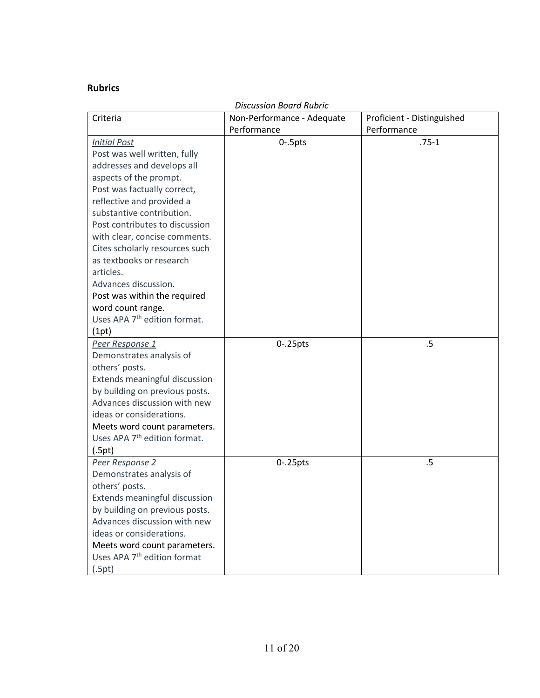## **Rubrics**

| <b>Discussion Board Rubric</b>           |                            |                            |  |
|------------------------------------------|----------------------------|----------------------------|--|
| Criteria                                 | Non-Performance - Adequate | Proficient - Distinguished |  |
|                                          | Performance                | Performance                |  |
| <b>Initial Post</b>                      | $0 - 5$ pts                | $.75-1$                    |  |
| Post was well written, fully             |                            |                            |  |
| addresses and develops all               |                            |                            |  |
| aspects of the prompt.                   |                            |                            |  |
| Post was factually correct,              |                            |                            |  |
| reflective and provided a                |                            |                            |  |
| substantive contribution.                |                            |                            |  |
| Post contributes to discussion           |                            |                            |  |
| with clear, concise comments.            |                            |                            |  |
| Cites scholarly resources such           |                            |                            |  |
| as textbooks or research                 |                            |                            |  |
| articles.                                |                            |                            |  |
| Advances discussion.                     |                            |                            |  |
| Post was within the required             |                            |                            |  |
| word count range.                        |                            |                            |  |
| Uses APA 7 <sup>th</sup> edition format. |                            |                            |  |
| (1pt)                                    |                            |                            |  |
| Peer Response 1                          | $0 - 25$ pts               | .5                         |  |
| Demonstrates analysis of                 |                            |                            |  |
| others' posts.                           |                            |                            |  |
| Extends meaningful discussion            |                            |                            |  |
| by building on previous posts.           |                            |                            |  |
| Advances discussion with new             |                            |                            |  |
| ideas or considerations.                 |                            |                            |  |
| Meets word count parameters.             |                            |                            |  |
| Uses APA 7 <sup>th</sup> edition format. |                            |                            |  |
| (.5pt)                                   |                            |                            |  |
| Peer Response 2                          | $0 - 25$ pts               | .5                         |  |
| Demonstrates analysis of                 |                            |                            |  |
| others' posts.                           |                            |                            |  |
| Extends meaningful discussion            |                            |                            |  |
| by building on previous posts.           |                            |                            |  |
| Advances discussion with new             |                            |                            |  |
| ideas or considerations.                 |                            |                            |  |
| Meets word count parameters.             |                            |                            |  |
| Uses APA 7 <sup>th</sup> edition format  |                            |                            |  |
| (.5pt)                                   |                            |                            |  |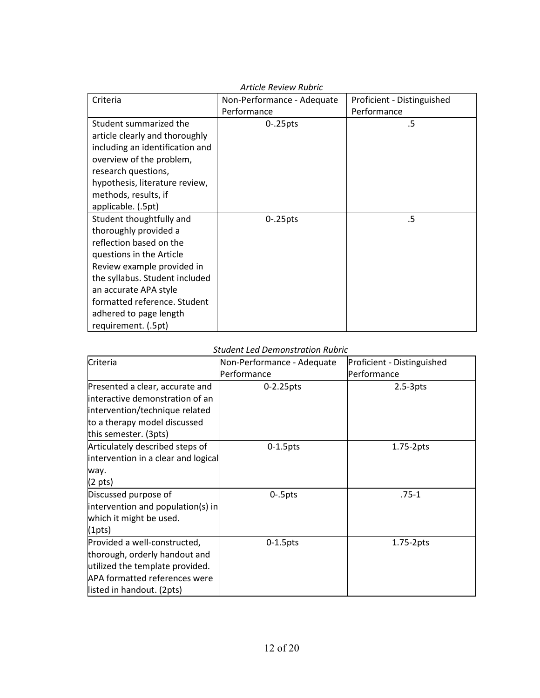| <b>Article Review Rubric</b>    |                            |                            |  |
|---------------------------------|----------------------------|----------------------------|--|
| Criteria                        | Non-Performance - Adequate | Proficient - Distinguished |  |
|                                 | Performance                | Performance                |  |
| Student summarized the          | $0 - 25$ pts               | .5                         |  |
| article clearly and thoroughly  |                            |                            |  |
| including an identification and |                            |                            |  |
| overview of the problem,        |                            |                            |  |
| research questions,             |                            |                            |  |
| hypothesis, literature review,  |                            |                            |  |
| methods, results, if            |                            |                            |  |
| applicable. (.5pt)              |                            |                            |  |
| Student thoughtfully and        | $0 - 25$ pts               | .5                         |  |
| thoroughly provided a           |                            |                            |  |
| reflection based on the         |                            |                            |  |
| questions in the Article        |                            |                            |  |
| Review example provided in      |                            |                            |  |
| the syllabus. Student included  |                            |                            |  |
| an accurate APA style           |                            |                            |  |
| formatted reference. Student    |                            |                            |  |
| adhered to page length          |                            |                            |  |
| requirement. (.5pt)             |                            |                            |  |

#### *Student Led Demonstration Rubric*

| Criteria                            | Non-Performance - Adequate | Proficient - Distinguished |
|-------------------------------------|----------------------------|----------------------------|
|                                     | Performance                | Performance                |
| Presented a clear, accurate and     | 0-2.25pts                  | $2.5-3pts$                 |
| interactive demonstration of an     |                            |                            |
| intervention/technique related      |                            |                            |
| to a therapy model discussed        |                            |                            |
| this semester. (3pts)               |                            |                            |
| Articulately described steps of     | $0-1.5$ pts                | $1.75-2pts$                |
| intervention in a clear and logical |                            |                            |
| way.                                |                            |                            |
| $(2 \text{ pts})$                   |                            |                            |
| Discussed purpose of                | $0 - 5$ pts                | $.75 - 1$                  |
| intervention and population(s) in   |                            |                            |
| which it might be used.             |                            |                            |
| (1pts)                              |                            |                            |
| Provided a well-constructed,        | $0-1.5$ pts                | 1.75-2pts                  |
| thorough, orderly handout and       |                            |                            |
| utilized the template provided.     |                            |                            |
| APA formatted references were       |                            |                            |
| listed in handout. (2pts)           |                            |                            |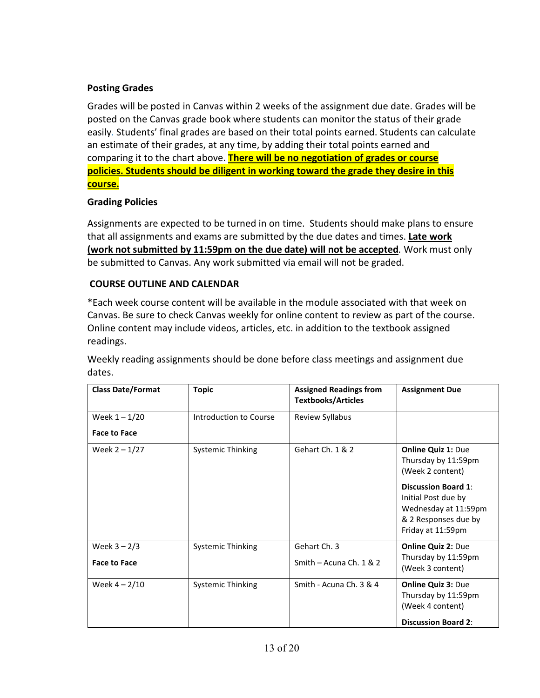## **Posting Grades**

Grades will be posted in Canvas within 2 weeks of the assignment due date. Grades will be posted on the Canvas grade book where students can monitor the status of their grade easily*.* Students' final grades are based on their total points earned. Students can calculate an estimate of their grades, at any time, by adding their total points earned and comparing it to the chart above. **There will be no negotiation of grades or course policies. Students should be diligent in working toward the grade they desire in this course.**

## **Grading Policies**

Assignments are expected to be turned in on time. Students should make plans to ensure that all assignments and exams are submitted by the due dates and times. **Late work (work not submitted by 11:59pm on the due date) will not be accepted***.* Work must only be submitted to Canvas. Any work submitted via email will not be graded.

## **COURSE OUTLINE AND CALENDAR**

\*Each week course content will be available in the module associated with that week on Canvas. Be sure to check Canvas weekly for online content to review as part of the course. Online content may include videos, articles, etc. in addition to the textbook assigned readings.

Weekly reading assignments should be done before class meetings and assignment due dates.

| <b>Class Date/Format</b> | <b>Topic</b>             | <b>Assigned Readings from</b><br><b>Textbooks/Articles</b> | <b>Assignment Due</b>                                                                                                                                                                          |
|--------------------------|--------------------------|------------------------------------------------------------|------------------------------------------------------------------------------------------------------------------------------------------------------------------------------------------------|
| Week $1 - 1/20$          | Introduction to Course   | Review Syllabus                                            |                                                                                                                                                                                                |
| <b>Face to Face</b>      |                          |                                                            |                                                                                                                                                                                                |
| Week $2 - 1/27$          | <b>Systemic Thinking</b> | Gehart Ch. 1 & 2                                           | <b>Online Quiz 1: Due</b><br>Thursday by 11:59pm<br>(Week 2 content)<br><b>Discussion Board 1:</b><br>Initial Post due by<br>Wednesday at 11:59pm<br>& 2 Responses due by<br>Friday at 11:59pm |
| Week $3 - 2/3$           | <b>Systemic Thinking</b> | Gehart Ch. 3                                               | <b>Online Quiz 2: Due</b>                                                                                                                                                                      |
| <b>Face to Face</b>      |                          | Smith - Acuna Ch. $1 & 2$                                  | Thursday by 11:59pm<br>(Week 3 content)                                                                                                                                                        |
| Week $4 - 2/10$          | Systemic Thinking        | Smith - Acuna Ch. 3 & 4                                    | <b>Online Quiz 3: Due</b><br>Thursday by 11:59pm<br>(Week 4 content)                                                                                                                           |
|                          |                          |                                                            | <b>Discussion Board 2:</b>                                                                                                                                                                     |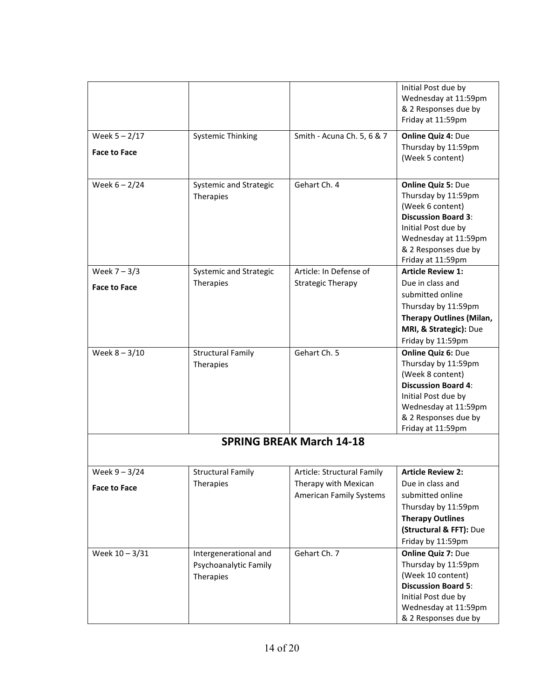|                     |                          |                                 | Initial Post due by                       |
|---------------------|--------------------------|---------------------------------|-------------------------------------------|
|                     |                          |                                 | Wednesday at 11:59pm                      |
|                     |                          |                                 | & 2 Responses due by                      |
|                     |                          |                                 | Friday at 11:59pm                         |
| Week $5 - 2/17$     | <b>Systemic Thinking</b> | Smith - Acuna Ch. 5, 6 & 7      | <b>Online Quiz 4: Due</b>                 |
|                     |                          |                                 | Thursday by 11:59pm                       |
| <b>Face to Face</b> |                          |                                 | (Week 5 content)                          |
|                     |                          |                                 |                                           |
| Week $6 - 2/24$     | Systemic and Strategic   | Gehart Ch. 4                    | <b>Online Quiz 5: Due</b>                 |
|                     | Therapies                |                                 | Thursday by 11:59pm                       |
|                     |                          |                                 | (Week 6 content)                          |
|                     |                          |                                 | <b>Discussion Board 3:</b>                |
|                     |                          |                                 | Initial Post due by                       |
|                     |                          |                                 | Wednesday at 11:59pm                      |
|                     |                          |                                 | & 2 Responses due by                      |
|                     |                          |                                 | Friday at 11:59pm                         |
| Week $7 - 3/3$      | Systemic and Strategic   | Article: In Defense of          | <b>Article Review 1:</b>                  |
| <b>Face to Face</b> | Therapies                | <b>Strategic Therapy</b>        | Due in class and                          |
|                     |                          |                                 | submitted online                          |
|                     |                          |                                 | Thursday by 11:59pm                       |
|                     |                          |                                 | <b>Therapy Outlines (Milan,</b>           |
|                     |                          |                                 | MRI, & Strategic): Due                    |
|                     |                          |                                 | Friday by 11:59pm                         |
| Week $8 - 3/10$     | <b>Structural Family</b> | Gehart Ch. 5                    | <b>Online Quiz 6: Due</b>                 |
|                     | Therapies                |                                 | Thursday by 11:59pm                       |
|                     |                          |                                 | (Week 8 content)                          |
|                     |                          |                                 | <b>Discussion Board 4:</b>                |
|                     |                          |                                 | Initial Post due by                       |
|                     |                          |                                 | Wednesday at 11:59pm                      |
|                     |                          |                                 | & 2 Responses due by<br>Friday at 11:59pm |
|                     |                          |                                 |                                           |
|                     |                          | <b>SPRING BREAK March 14-18</b> |                                           |
|                     |                          |                                 |                                           |
| Week $9 - 3/24$     | <b>Structural Family</b> | Article: Structural Family      | <b>Article Review 2:</b>                  |
| <b>Face to Face</b> | Therapies                | Therapy with Mexican            | Due in class and                          |
|                     |                          | <b>American Family Systems</b>  | submitted online                          |
|                     |                          |                                 | Thursday by 11:59pm                       |
|                     |                          |                                 | <b>Therapy Outlines</b>                   |
|                     |                          |                                 | (Structural & FFT): Due                   |
|                     |                          |                                 | Friday by 11:59pm                         |
| Week 10 - 3/31      | Intergenerational and    | Gehart Ch. 7                    | <b>Online Quiz 7: Due</b>                 |
|                     | Psychoanalytic Family    |                                 | Thursday by 11:59pm                       |
|                     | Therapies                |                                 | (Week 10 content)                         |
|                     |                          |                                 | <b>Discussion Board 5:</b>                |
|                     |                          |                                 | Initial Post due by                       |
|                     |                          |                                 | Wednesday at 11:59pm                      |
|                     |                          |                                 | & 2 Responses due by                      |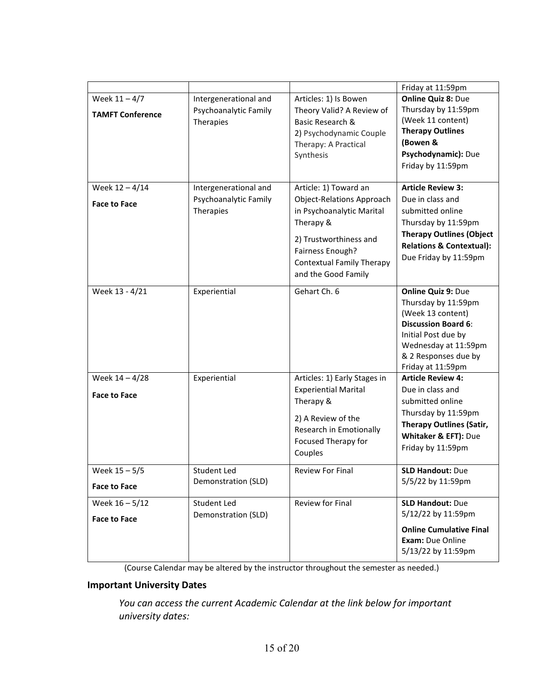|                         |                       |                                  | Friday at 11:59pm                           |
|-------------------------|-----------------------|----------------------------------|---------------------------------------------|
| Week $11 - 4/7$         | Intergenerational and | Articles: 1) Is Bowen            | <b>Online Quiz 8: Due</b>                   |
| <b>TAMFT Conference</b> | Psychoanalytic Family | Theory Valid? A Review of        | Thursday by 11:59pm                         |
|                         | Therapies             | Basic Research &                 | (Week 11 content)                           |
|                         |                       | 2) Psychodynamic Couple          | <b>Therapy Outlines</b>                     |
|                         |                       | Therapy: A Practical             | (Bowen &                                    |
|                         |                       | Synthesis                        | Psychodynamic): Due                         |
|                         |                       |                                  | Friday by 11:59pm                           |
|                         |                       |                                  |                                             |
| Week $12 - 4/14$        | Intergenerational and | Article: 1) Toward an            | <b>Article Review 3:</b>                    |
| <b>Face to Face</b>     | Psychoanalytic Family | <b>Object-Relations Approach</b> | Due in class and                            |
|                         | Therapies             | in Psychoanalytic Marital        | submitted online                            |
|                         |                       | Therapy &                        | Thursday by 11:59pm                         |
|                         |                       | 2) Trustworthiness and           | <b>Therapy Outlines (Object</b>             |
|                         |                       | Fairness Enough?                 | <b>Relations &amp; Contextual):</b>         |
|                         |                       | <b>Contextual Family Therapy</b> | Due Friday by 11:59pm                       |
|                         |                       | and the Good Family              |                                             |
|                         |                       |                                  |                                             |
| Week 13 - 4/21          | Experiential          | Gehart Ch. 6                     | Online Quiz 9: Due                          |
|                         |                       |                                  | Thursday by 11:59pm                         |
|                         |                       |                                  | (Week 13 content)                           |
|                         |                       |                                  | <b>Discussion Board 6:</b>                  |
|                         |                       |                                  | Initial Post due by<br>Wednesday at 11:59pm |
|                         |                       |                                  | & 2 Responses due by                        |
|                         |                       |                                  | Friday at 11:59pm                           |
| Week 14 - 4/28          | Experiential          | Articles: 1) Early Stages in     | <b>Article Review 4:</b>                    |
|                         |                       | <b>Experiential Marital</b>      | Due in class and                            |
| <b>Face to Face</b>     |                       | Therapy &                        | submitted online                            |
|                         |                       |                                  | Thursday by 11:59pm                         |
|                         |                       | 2) A Review of the               | <b>Therapy Outlines (Satir,</b>             |
|                         |                       | Research in Emotionally          | Whitaker & EFT): Due                        |
|                         |                       | Focused Therapy for              | Friday by 11:59pm                           |
|                         |                       | Couples                          |                                             |
| Week $15 - 5/5$         | <b>Student Led</b>    | <b>Review For Final</b>          | <b>SLD Handout: Due</b>                     |
|                         | Demonstration (SLD)   |                                  | 5/5/22 by 11:59pm                           |
| <b>Face to Face</b>     |                       |                                  |                                             |
| Week 16 - 5/12          | Student Led           | <b>Review for Final</b>          | <b>SLD Handout: Due</b>                     |
| <b>Face to Face</b>     | Demonstration (SLD)   |                                  | 5/12/22 by 11:59pm                          |
|                         |                       |                                  | <b>Online Cumulative Final</b>              |
|                         |                       |                                  | Exam: Due Online                            |
|                         |                       |                                  | 5/13/22 by 11:59pm                          |
|                         |                       |                                  |                                             |

(Course Calendar may be altered by the instructor throughout the semester as needed.)

## **Important University Dates**

*You can access the current Academic Calendar at the link below for important university dates:*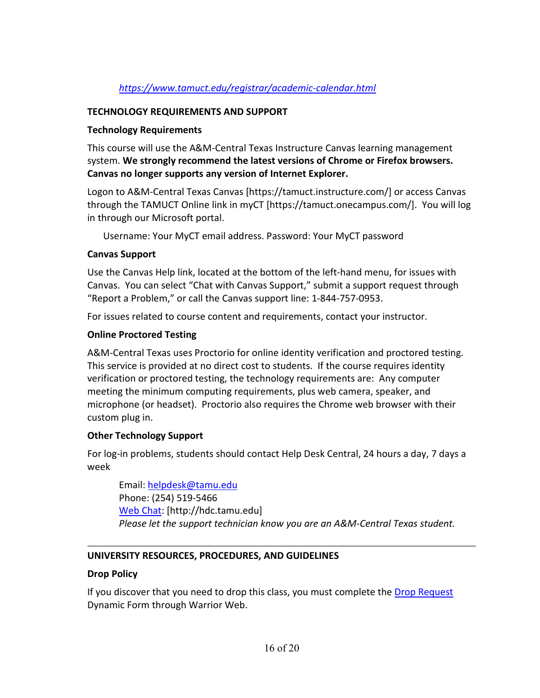## *<https://www.tamuct.edu/registrar/academic-calendar.html>*

#### **TECHNOLOGY REQUIREMENTS AND SUPPORT**

#### **Technology Requirements**

This course will use the A&M-Central Texas Instructure Canvas learning management system. **We strongly recommend the latest versions of Chrome or Firefox browsers. Canvas no longer supports any version of Internet Explorer.**

Logon to A&M-Central Texas Canvas [https://tamuct.instructure.com/] or access Canvas through the TAMUCT Online link in myCT [https://tamuct.onecampus.com/]. You will log in through our Microsoft portal.

Username: Your MyCT email address. Password: Your MyCT password

#### **Canvas Support**

Use the Canvas Help link, located at the bottom of the left-hand menu, for issues with Canvas. You can select "Chat with Canvas Support," submit a support request through "Report a Problem," or call the Canvas support line: 1-844-757-0953.

For issues related to course content and requirements, contact your instructor.

## **Online Proctored Testing**

A&M-Central Texas uses Proctorio for online identity verification and proctored testing. This service is provided at no direct cost to students. If the course requires identity verification or proctored testing, the technology requirements are: Any computer meeting the minimum computing requirements, plus web camera, speaker, and microphone (or headset). Proctorio also requires the Chrome web browser with their custom plug in.

## **Other Technology Support**

For log-in problems, students should contact Help Desk Central, 24 hours a day, 7 days a week

Email: [helpdesk@tamu.edu](mailto:helpdesk@tamu.edu) Phone: (254) 519-5466 [Web Chat:](http://hdc.tamu.edu/) [http://hdc.tamu.edu] *Please let the support technician know you are an A&M-Central Texas student.*

## **UNIVERSITY RESOURCES, PROCEDURES, AND GUIDELINES**

## **Drop Policy**

If you discover that you need to drop this class, you must complete the [Drop Request](https://dynamicforms.ngwebsolutions.com/casAuthentication.ashx?InstID=eaed95b9-f2be-45f3-a37d-46928168bc10&targetUrl=https%3A%2F%2Fdynamicforms.ngwebsolutions.com%2FSubmit%2FForm%2FStart%2F53b8369e-0502-4f36-be43-f02a4202f612) Dynamic Form through Warrior Web.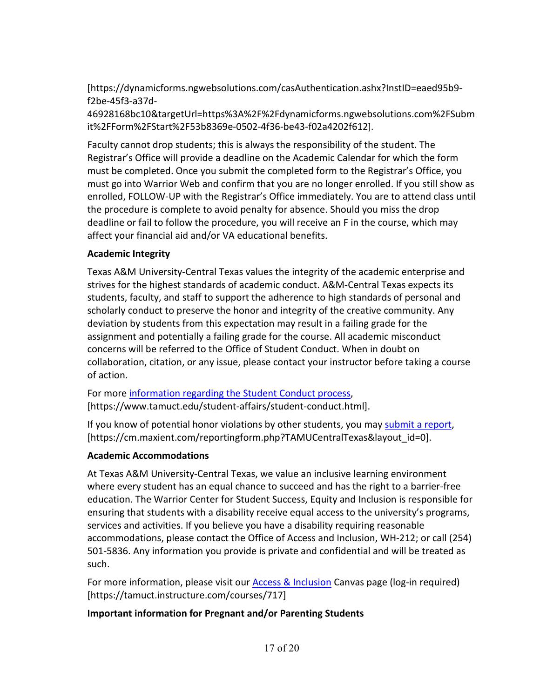[https://dynamicforms.ngwebsolutions.com/casAuthentication.ashx?InstID=eaed95b9 f2be-45f3-a37d-

46928168bc10&targetUrl=https%3A%2F%2Fdynamicforms.ngwebsolutions.com%2FSubm it%2FForm%2FStart%2F53b8369e-0502-4f36-be43-f02a4202f612].

Faculty cannot drop students; this is always the responsibility of the student. The Registrar's Office will provide a deadline on the Academic Calendar for which the form must be completed. Once you submit the completed form to the Registrar's Office, you must go into Warrior Web and confirm that you are no longer enrolled. If you still show as enrolled, FOLLOW-UP with the Registrar's Office immediately. You are to attend class until the procedure is complete to avoid penalty for absence. Should you miss the drop deadline or fail to follow the procedure, you will receive an F in the course, which may affect your financial aid and/or VA educational benefits.

## **Academic Integrity**

Texas A&M University-Central Texas values the integrity of the academic enterprise and strives for the highest standards of academic conduct. A&M-Central Texas expects its students, faculty, and staff to support the adherence to high standards of personal and scholarly conduct to preserve the honor and integrity of the creative community. Any deviation by students from this expectation may result in a failing grade for the assignment and potentially a failing grade for the course. All academic misconduct concerns will be referred to the Office of Student Conduct. When in doubt on collaboration, citation, or any issue, please contact your instructor before taking a course of action.

For more [information](https://nam04.safelinks.protection.outlook.com/?url=https%3A%2F%2Fwww.tamuct.edu%2Fstudent-affairs%2Fstudent-conduct.html&data=04%7C01%7Clisa.bunkowski%40tamuct.edu%7Ccfb6e486f24745f53e1a08d910055cb2%7C9eed4e3000f744849ff193ad8005acec%7C0%7C0%7C637558437485252160%7CUnknown%7CTWFpbGZsb3d8eyJWIjoiMC4wLjAwMDAiLCJQIjoiV2luMzIiLCJBTiI6Ik1haWwiLCJXVCI6Mn0%3D%7C1000&sdata=yjftDEVHvLX%2FhM%2FcFU0B99krV1RgEWR%2BJ%2BhvtoR6TYk%3D&reserved=0) regarding the Student Conduct process, [https://www.tamuct.edu/student-affairs/student-conduct.html].

If you know of potential honor violations by other students, you may [submit](https://nam04.safelinks.protection.outlook.com/?url=https%3A%2F%2Fcm.maxient.com%2Freportingform.php%3FTAMUCentralTexas%26layout_id%3D0&data=04%7C01%7Clisa.bunkowski%40tamuct.edu%7Ccfb6e486f24745f53e1a08d910055cb2%7C9eed4e3000f744849ff193ad8005acec%7C0%7C0%7C637558437485262157%7CUnknown%7CTWFpbGZsb3d8eyJWIjoiMC4wLjAwMDAiLCJQIjoiV2luMzIiLCJBTiI6Ik1haWwiLCJXVCI6Mn0%3D%7C1000&sdata=CXGkOa6uPDPX1IMZ87z3aZDq2n91xfHKu4MMS43Ejjk%3D&reserved=0) a report, [https://cm.maxient.com/reportingform.php?TAMUCentralTexas&layout\_id=0].

## **Academic Accommodations**

At Texas A&M University-Central Texas, we value an inclusive learning environment where every student has an equal chance to succeed and has the right to a barrier-free education. The Warrior Center for Student Success, Equity and Inclusion is responsible for ensuring that students with a disability receive equal access to the university's programs, services and activities. If you believe you have a disability requiring reasonable accommodations, please contact the Office of Access and Inclusion, WH-212; or call (254) 501-5836. Any information you provide is private and confidential and will be treated as such.

For more information, please visit our **Access & Inclusion** Canvas page (log-in required) [https://tamuct.instructure.com/courses/717]

# **Important information for Pregnant and/or Parenting Students**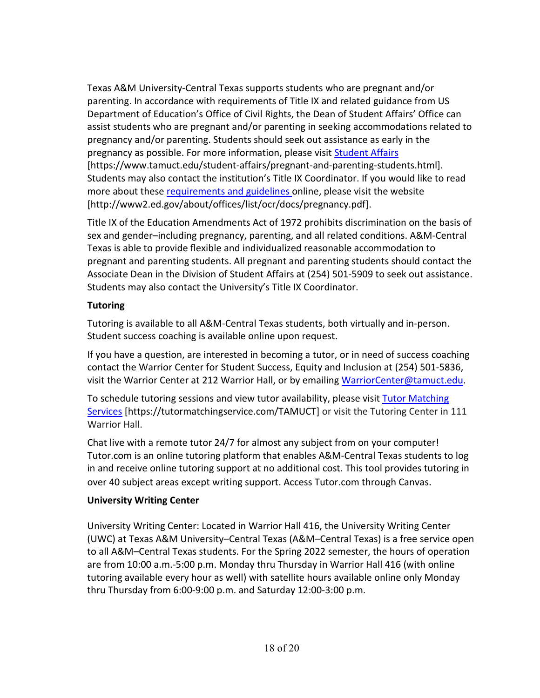Texas A&M University-Central Texas supports students who are pregnant and/or parenting. In accordance with requirements of Title IX and related guidance from US Department of Education's Office of Civil Rights, the Dean of Student Affairs' Office can assist students who are pregnant and/or parenting in seeking accommodations related to pregnancy and/or parenting. Students should seek out assistance as early in the pregnancy as possible. For more information, please visit [Student Affairs](https://www.tamuct.edu/student-affairs/pregnant-and-parenting-students.html) [https://www.tamuct.edu/student-affairs/pregnant-and-parenting-students.html]. Students may also contact the institution's Title IX Coordinator. If you would like to read more about these [requirements and guidelines](http://www2.ed.gov/about/offices/list/ocr/docs/pregnancy.pdf) online, please visit the website [http://www2.ed.gov/about/offices/list/ocr/docs/pregnancy.pdf].

Title IX of the Education Amendments Act of 1972 prohibits discrimination on the basis of sex and gender–including pregnancy, parenting, and all related conditions. A&M-Central Texas is able to provide flexible and individualized reasonable accommodation to pregnant and parenting students. All pregnant and parenting students should contact the Associate Dean in the Division of Student Affairs at (254) 501-5909 to seek out assistance. Students may also contact the University's Title IX Coordinator.

# **Tutoring**

Tutoring is available to all A&M-Central Texas students, both virtually and in-person. Student success coaching is available online upon request.

If you have a question, are interested in becoming a tutor, or in need of success coaching contact the Warrior Center for Student Success, Equity and Inclusion at (254) 501-5836, visit the Warrior Center at 212 Warrior Hall, or by emailing [WarriorCenter@tamuct.edu.](mailto:WarriorCenter@tamuct.edu)

To schedule tutoring sessions and view tutor availability, please visit Tutor [Matching](https://tutormatchingservice.com/TAMUCT) [Services](https://tutormatchingservice.com/TAMUCT) [https://tutormatchingservice.com/TAMUCT] or visit the Tutoring Center in 111 Warrior Hall.

Chat live with a remote tutor 24/7 for almost any subject from on your computer! Tutor.com is an online tutoring platform that enables A&M-Central Texas students to log in and receive online tutoring support at no additional cost. This tool provides tutoring in over 40 subject areas except writing support. Access Tutor.com through Canvas.

# **University Writing Center**

University Writing Center: Located in Warrior Hall 416, the University Writing Center (UWC) at Texas A&M University–Central Texas (A&M–Central Texas) is a free service open to all A&M–Central Texas students. For the Spring 2022 semester, the hours of operation are from 10:00 a.m.-5:00 p.m. Monday thru Thursday in Warrior Hall 416 (with online tutoring available every hour as well) with satellite hours available online only Monday thru Thursday from 6:00-9:00 p.m. and Saturday 12:00-3:00 p.m.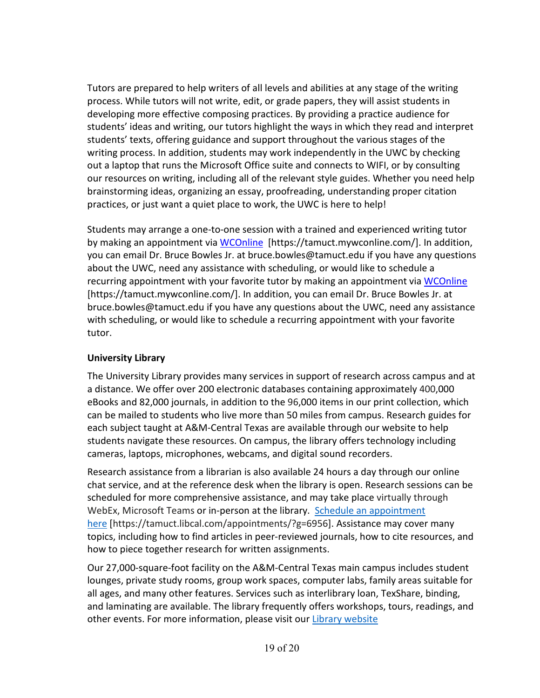Tutors are prepared to help writers of all levels and abilities at any stage of the writing process. While tutors will not write, edit, or grade papers, they will assist students in developing more effective composing practices. By providing a practice audience for students' ideas and writing, our tutors highlight the ways in which they read and interpret students' texts, offering guidance and support throughout the various stages of the writing process. In addition, students may work independently in the UWC by checking out a laptop that runs the Microsoft Office suite and connects to WIFI, or by consulting our resources on writing, including all of the relevant style guides. Whether you need help brainstorming ideas, organizing an essay, proofreading, understanding proper citation practices, or just want a quiet place to work, the UWC is here to help!

Students may arrange a one-to-one session with a trained and experienced writing tutor by making an appointment via [WCOnline](https://tamuct.mywconline.com/) [https://tamuct.mywconline.com/]. In addition, you can email Dr. Bruce Bowles Jr. at bruce.bowles@tamuct.edu if you have any questions about the UWC, need any assistance with scheduling, or would like to schedule a recurring appointment with your favorite tutor by making an appointment via [WCOnline](https://tamuct.mywconline.com/) [https://tamuct.mywconline.com/]. In addition, you can email Dr. Bruce Bowles Jr. at bruce.bowles@tamuct.edu if you have any questions about the UWC, need any assistance with scheduling, or would like to schedule a recurring appointment with your favorite tutor.

# **University Library**

The University Library provides many services in support of research across campus and at a distance. We offer over 200 electronic databases containing approximately 400,000 eBooks and 82,000 journals, in addition to the 96,000 items in our print collection, which can be mailed to students who live more than 50 miles from campus. Research guides for each subject taught at A&M-Central Texas are available through our website to help students navigate these resources. On campus, the library offers technology including cameras, laptops, microphones, webcams, and digital sound recorders.

Research assistance from a librarian is also available 24 hours a day through our online chat service, and at the reference desk when the library is open. Research sessions can be scheduled for more comprehensive assistance, and may take place virtually through WebEx, Microsoft Teams or in-person at the library. Schedule an [appointment](https://nam04.safelinks.protection.outlook.com/?url=https%3A%2F%2Ftamuct.libcal.com%2Fappointments%2F%3Fg%3D6956&data=04%7C01%7Clisa.bunkowski%40tamuct.edu%7Cde2c07d9f5804f09518008d9ab7ba6ff%7C9eed4e3000f744849ff193ad8005acec%7C0%7C0%7C637729369835011558%7CUnknown%7CTWFpbGZsb3d8eyJWIjoiMC4wLjAwMDAiLCJQIjoiV2luMzIiLCJBTiI6Ik1haWwiLCJXVCI6Mn0%3D%7C3000&sdata=KhtjgRSAw9aq%2FoBsB6wyu8b7PSuGN5EGPypzr3Ty2No%3D&reserved=0) [here](https://nam04.safelinks.protection.outlook.com/?url=https%3A%2F%2Ftamuct.libcal.com%2Fappointments%2F%3Fg%3D6956&data=04%7C01%7Clisa.bunkowski%40tamuct.edu%7Cde2c07d9f5804f09518008d9ab7ba6ff%7C9eed4e3000f744849ff193ad8005acec%7C0%7C0%7C637729369835011558%7CUnknown%7CTWFpbGZsb3d8eyJWIjoiMC4wLjAwMDAiLCJQIjoiV2luMzIiLCJBTiI6Ik1haWwiLCJXVCI6Mn0%3D%7C3000&sdata=KhtjgRSAw9aq%2FoBsB6wyu8b7PSuGN5EGPypzr3Ty2No%3D&reserved=0) [https://tamuct.libcal.com/appointments/?g=6956]. Assistance may cover many topics, including how to find articles in peer-reviewed journals, how to cite resources, and how to piece together research for written assignments.

Our 27,000-square-foot facility on the A&M-Central Texas main campus includes student lounges, private study rooms, group work spaces, computer labs, family areas suitable for all ages, and many other features. Services such as interlibrary loan, TexShare, binding, and laminating are available. The library frequently offers workshops, tours, readings, and other events. For more information, please visit our Library [website](https://nam04.safelinks.protection.outlook.com/?url=https%3A%2F%2Ftamuct.libguides.com%2Findex&data=04%7C01%7Clisa.bunkowski%40tamuct.edu%7C7d8489e8839a4915335f08d916f067f2%7C9eed4e3000f744849ff193ad8005acec%7C0%7C0%7C637566044056484222%7CUnknown%7CTWFpbGZsb3d8eyJWIjoiMC4wLjAwMDAiLCJQIjoiV2luMzIiLCJBTiI6Ik1haWwiLCJXVCI6Mn0%3D%7C1000&sdata=2R755V6rcIyedGrd4Os5rkgn1PvhHKU3kUV1vBKiHFo%3D&reserved=0)